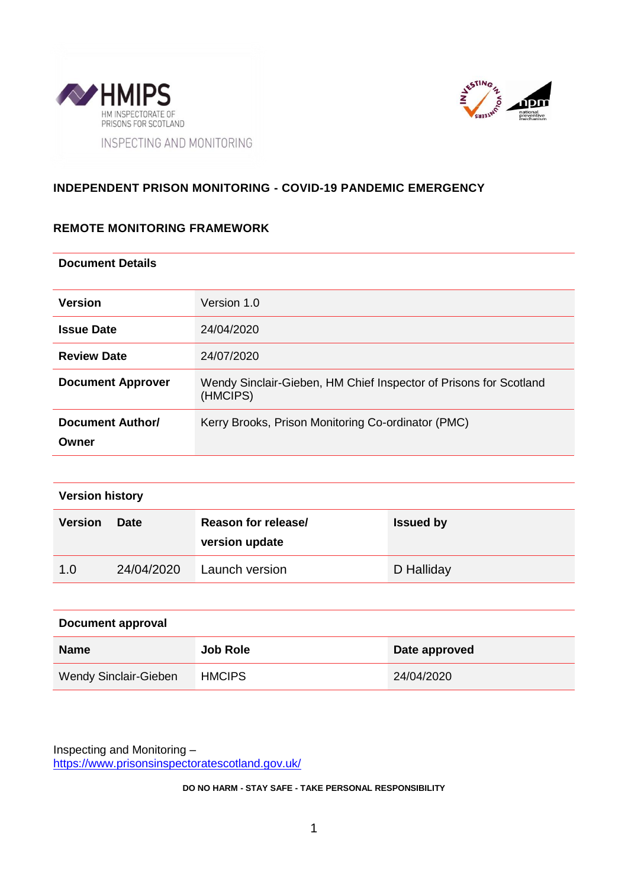



## **INDEPENDENT PRISON MONITORING - COVID-19 PANDEMIC EMERGENCY**

## **REMOTE MONITORING FRAMEWORK**

#### **Document Details**

| <b>Version</b>            | Version 1.0                                                                   |  |
|---------------------------|-------------------------------------------------------------------------------|--|
| <b>Issue Date</b>         | 24/04/2020                                                                    |  |
| <b>Review Date</b>        | 24/07/2020                                                                    |  |
| <b>Document Approver</b>  | Wendy Sinclair-Gieben, HM Chief Inspector of Prisons for Scotland<br>(HMCIPS) |  |
| Document Author/<br>Owner | Kerry Brooks, Prison Monitoring Co-ordinator (PMC)                            |  |

| <b>Version history</b> |             |                                       |                  |  |  |
|------------------------|-------------|---------------------------------------|------------------|--|--|
| <b>Version</b>         | <b>Date</b> | Reason for release/<br>version update | <b>Issued by</b> |  |  |
| 1.0                    | 24/04/2020  | Launch version                        | D Halliday       |  |  |

| Document approval     |                 |               |  |  |
|-----------------------|-----------------|---------------|--|--|
| <b>Name</b>           | <b>Job Role</b> | Date approved |  |  |
| Wendy Sinclair-Gieben | <b>HMCIPS</b>   | 24/04/2020    |  |  |

Inspecting and Monitoring – https://www.prisonsinspectoratescotland.gov.uk/

**DO NO HARM - STAY SAFE - TAKE PERSONAL RESPONSIBILITY**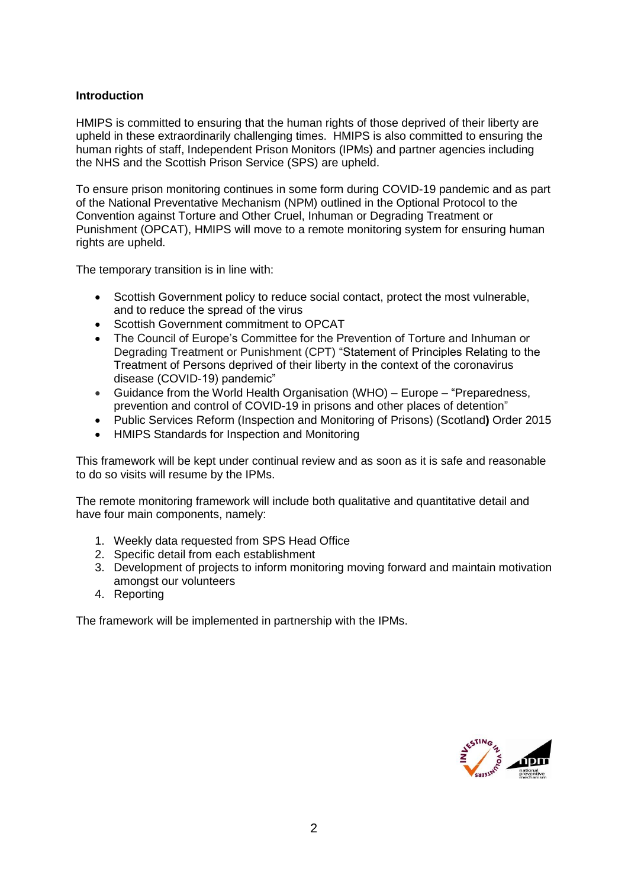### **Introduction**

HMIPS is committed to ensuring that the human rights of those deprived of their liberty are upheld in these extraordinarily challenging times. HMIPS is also committed to ensuring the human rights of staff, Independent Prison Monitors (IPMs) and partner agencies including the NHS and the Scottish Prison Service (SPS) are upheld.

To ensure prison monitoring continues in some form during COVID-19 pandemic and as part of the National Preventative Mechanism (NPM) outlined in the Optional Protocol to the Convention against Torture and Other Cruel, Inhuman or Degrading Treatment or Punishment (OPCAT), HMIPS will move to a remote monitoring system for ensuring human rights are upheld.

The temporary transition is in line with:

- Scottish Government policy to reduce social contact, protect the most vulnerable, and to reduce the spread of the virus
- Scottish Government commitment to OPCAT
- The Council of Europe's Committee for the Prevention of Torture and Inhuman or Degrading Treatment or Punishment (CPT) "Statement of Principles Relating to the Treatment of Persons deprived of their liberty in the context of the coronavirus disease (COVID-19) pandemic"
- Guidance from the World Health Organisation (WHO) Europe "Preparedness, prevention and control of COVID-19 in prisons and other places of detention"
- Public Services Reform (Inspection and Monitoring of Prisons) (Scotland**)** Order 2015
- HMIPS Standards for Inspection and Monitoring

This framework will be kept under continual review and as soon as it is safe and reasonable to do so visits will resume by the IPMs.

The remote monitoring framework will include both qualitative and quantitative detail and have four main components, namely:

- 1. Weekly data requested from SPS Head Office
- 2. Specific detail from each establishment
- 3. Development of projects to inform monitoring moving forward and maintain motivation amongst our volunteers
- 4. Reporting

The framework will be implemented in partnership with the IPMs.

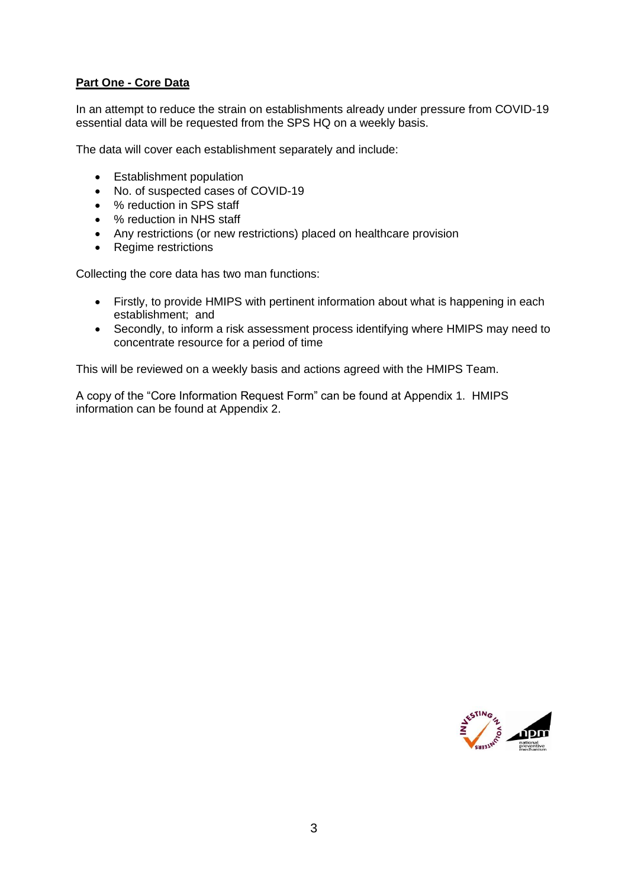## **Part One - Core Data**

In an attempt to reduce the strain on establishments already under pressure from COVID-19 essential data will be requested from the SPS HQ on a weekly basis.

The data will cover each establishment separately and include:

- Establishment population
- No. of suspected cases of COVID-19
- % reduction in SPS staff
- % reduction in NHS staff
- Any restrictions (or new restrictions) placed on healthcare provision
- Regime restrictions

Collecting the core data has two man functions:

- Firstly, to provide HMIPS with pertinent information about what is happening in each establishment; and
- Secondly, to inform a risk assessment process identifying where HMIPS may need to concentrate resource for a period of time

This will be reviewed on a weekly basis and actions agreed with the HMIPS Team.

A copy of the "Core Information Request Form" can be found at Appendix 1. HMIPS information can be found at Appendix 2.

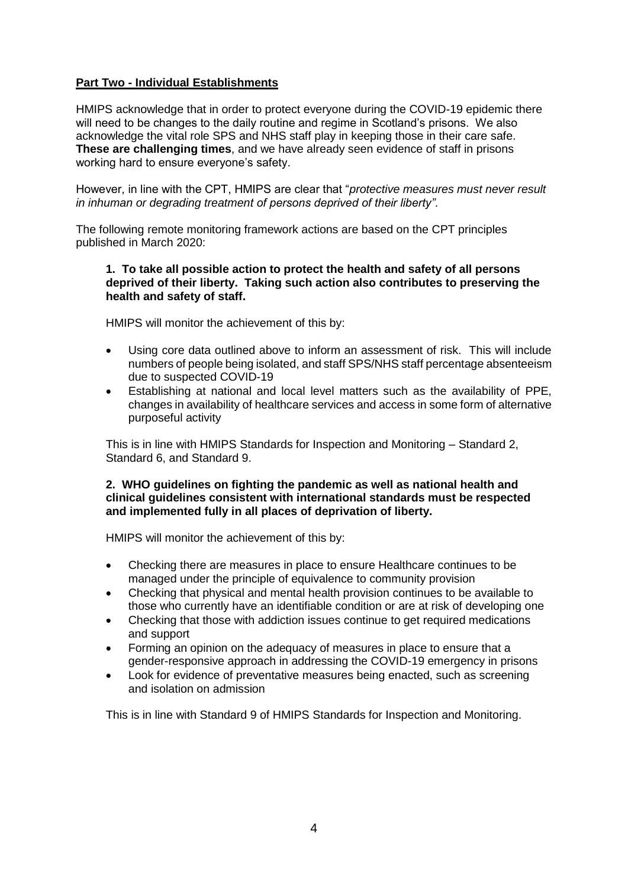## **Part Two - Individual Establishments**

HMIPS acknowledge that in order to protect everyone during the COVID-19 epidemic there will need to be changes to the daily routine and regime in Scotland's prisons. We also acknowledge the vital role SPS and NHS staff play in keeping those in their care safe. **These are challenging times**, and we have already seen evidence of staff in prisons working hard to ensure everyone's safety.

However, in line with the CPT, HMIPS are clear that "*protective measures must never result in inhuman or degrading treatment of persons deprived of their liberty"*.

The following remote monitoring framework actions are based on the CPT principles published in March 2020:

#### **1. To take all possible action to protect the health and safety of all persons deprived of their liberty. Taking such action also contributes to preserving the health and safety of staff.**

HMIPS will monitor the achievement of this by:

- Using core data outlined above to inform an assessment of risk. This will include numbers of people being isolated, and staff SPS/NHS staff percentage absenteeism due to suspected COVID-19
- Establishing at national and local level matters such as the availability of PPE, changes in availability of healthcare services and access in some form of alternative purposeful activity

This is in line with HMIPS Standards for Inspection and Monitoring – Standard 2, Standard 6, and Standard 9.

#### **2. WHO guidelines on fighting the pandemic as well as national health and clinical guidelines consistent with international standards must be respected and implemented fully in all places of deprivation of liberty.**

HMIPS will monitor the achievement of this by:

- Checking there are measures in place to ensure Healthcare continues to be managed under the principle of equivalence to community provision
- Checking that physical and mental health provision continues to be available to those who currently have an identifiable condition or are at risk of developing one
- Checking that those with addiction issues continue to get required medications and support
- Forming an opinion on the adequacy of measures in place to ensure that a gender-responsive approach in addressing the COVID-19 emergency in prisons
- Look for evidence of preventative measures being enacted, such as screening and isolation on admission

This is in line with Standard 9 of HMIPS Standards for Inspection and Monitoring.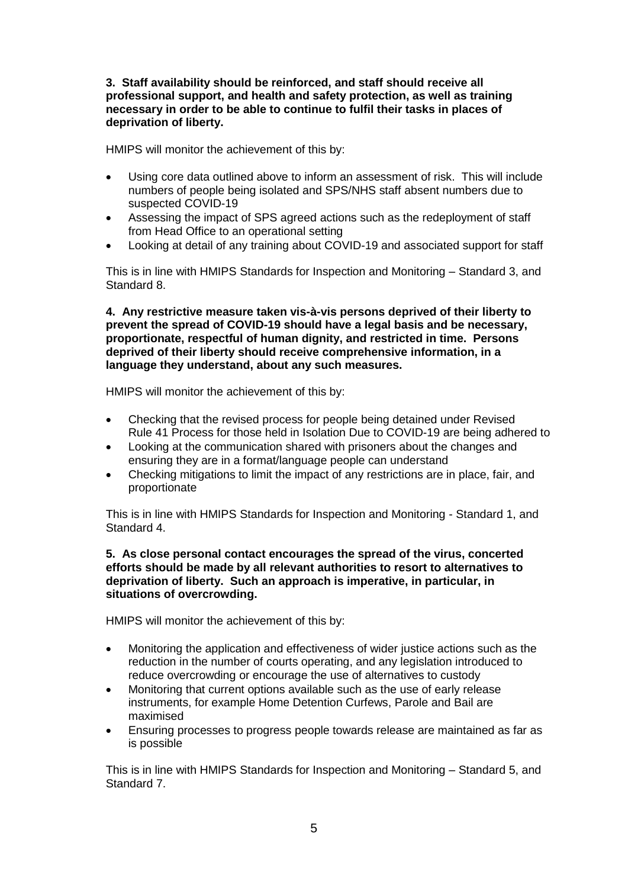**3. Staff availability should be reinforced, and staff should receive all professional support, and health and safety protection, as well as training necessary in order to be able to continue to fulfil their tasks in places of deprivation of liberty.** 

HMIPS will monitor the achievement of this by:

- Using core data outlined above to inform an assessment of risk. This will include numbers of people being isolated and SPS/NHS staff absent numbers due to suspected COVID-19
- Assessing the impact of SPS agreed actions such as the redeployment of staff from Head Office to an operational setting
- Looking at detail of any training about COVID-19 and associated support for staff

This is in line with HMIPS Standards for Inspection and Monitoring – Standard 3, and Standard 8.

**4. Any restrictive measure taken vis-à-vis persons deprived of their liberty to prevent the spread of COVID-19 should have a legal basis and be necessary, proportionate, respectful of human dignity, and restricted in time. Persons deprived of their liberty should receive comprehensive information, in a language they understand, about any such measures.** 

HMIPS will monitor the achievement of this by:

- Checking that the revised process for people being detained under Revised Rule 41 Process for those held in Isolation Due to COVID-19 are being adhered to
- Looking at the communication shared with prisoners about the changes and ensuring they are in a format/language people can understand
- Checking mitigations to limit the impact of any restrictions are in place, fair, and proportionate

This is in line with HMIPS Standards for Inspection and Monitoring - Standard 1, and Standard 4.

#### **5. As close personal contact encourages the spread of the virus, concerted efforts should be made by all relevant authorities to resort to alternatives to deprivation of liberty. Such an approach is imperative, in particular, in situations of overcrowding.**

HMIPS will monitor the achievement of this by:

- Monitoring the application and effectiveness of wider justice actions such as the reduction in the number of courts operating, and any legislation introduced to reduce overcrowding or encourage the use of alternatives to custody
- Monitoring that current options available such as the use of early release instruments, for example Home Detention Curfews, Parole and Bail are maximised
- Ensuring processes to progress people towards release are maintained as far as is possible

This is in line with HMIPS Standards for Inspection and Monitoring – Standard 5, and Standard 7.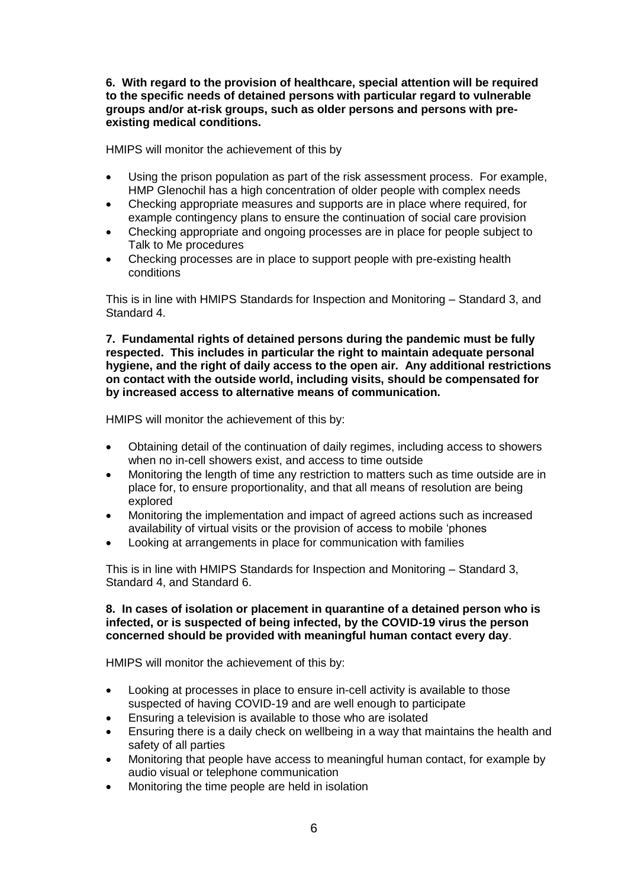**6. With regard to the provision of healthcare, special attention will be required to the specific needs of detained persons with particular regard to vulnerable groups and/or at-risk groups, such as older persons and persons with preexisting medical conditions.** 

HMIPS will monitor the achievement of this by

- Using the prison population as part of the risk assessment process. For example, HMP Glenochil has a high concentration of older people with complex needs
- Checking appropriate measures and supports are in place where required, for example contingency plans to ensure the continuation of social care provision
- Checking appropriate and ongoing processes are in place for people subject to Talk to Me procedures
- Checking processes are in place to support people with pre-existing health conditions

This is in line with HMIPS Standards for Inspection and Monitoring – Standard 3, and Standard 4.

**7. Fundamental rights of detained persons during the pandemic must be fully respected. This includes in particular the right to maintain adequate personal hygiene, and the right of daily access to the open air. Any additional restrictions on contact with the outside world, including visits, should be compensated for by increased access to alternative means of communication.**

HMIPS will monitor the achievement of this by:

- Obtaining detail of the continuation of daily regimes, including access to showers when no in-cell showers exist, and access to time outside
- Monitoring the length of time any restriction to matters such as time outside are in place for, to ensure proportionality, and that all means of resolution are being explored
- Monitoring the implementation and impact of agreed actions such as increased availability of virtual visits or the provision of access to mobile 'phones
- Looking at arrangements in place for communication with families

This is in line with HMIPS Standards for Inspection and Monitoring – Standard 3, Standard 4, and Standard 6.

#### **8. In cases of isolation or placement in quarantine of a detained person who is infected, or is suspected of being infected, by the COVID-19 virus the person concerned should be provided with meaningful human contact every day**.

HMIPS will monitor the achievement of this by:

- Looking at processes in place to ensure in-cell activity is available to those suspected of having COVID-19 and are well enough to participate
- Ensuring a television is available to those who are isolated
- Ensuring there is a daily check on wellbeing in a way that maintains the health and safety of all parties
- Monitoring that people have access to meaningful human contact, for example by audio visual or telephone communication
- Monitoring the time people are held in isolation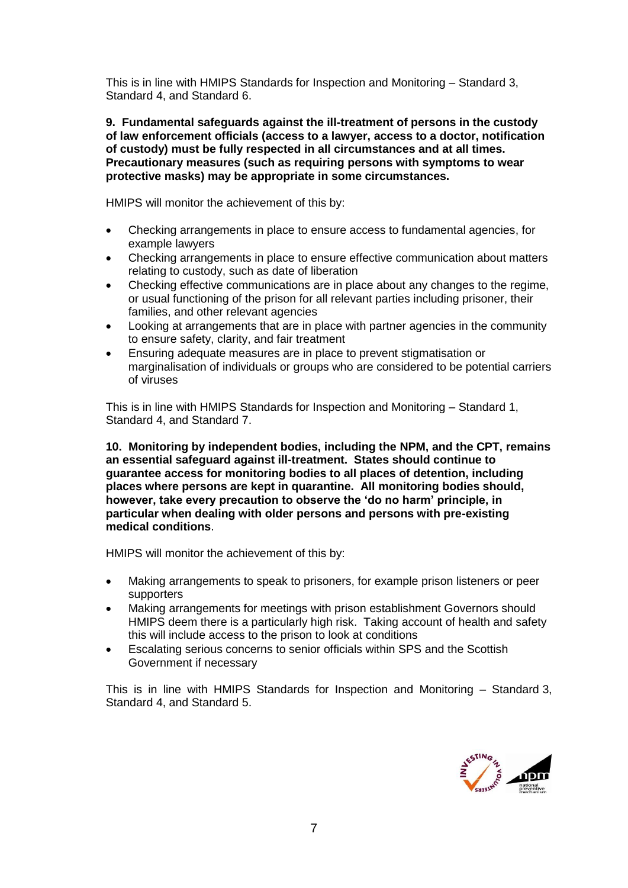This is in line with HMIPS Standards for Inspection and Monitoring – Standard 3, Standard 4, and Standard 6.

**9. Fundamental safeguards against the ill-treatment of persons in the custody of law enforcement officials (access to a lawyer, access to a doctor, notification of custody) must be fully respected in all circumstances and at all times. Precautionary measures (such as requiring persons with symptoms to wear protective masks) may be appropriate in some circumstances.** 

HMIPS will monitor the achievement of this by:

- Checking arrangements in place to ensure access to fundamental agencies, for example lawyers
- Checking arrangements in place to ensure effective communication about matters relating to custody, such as date of liberation
- Checking effective communications are in place about any changes to the regime, or usual functioning of the prison for all relevant parties including prisoner, their families, and other relevant agencies
- Looking at arrangements that are in place with partner agencies in the community to ensure safety, clarity, and fair treatment
- Ensuring adequate measures are in place to prevent stigmatisation or marginalisation of individuals or groups who are considered to be potential carriers of viruses

This is in line with HMIPS Standards for Inspection and Monitoring – Standard 1, Standard 4, and Standard 7.

**10. Monitoring by independent bodies, including the NPM, and the CPT, remains an essential safeguard against ill-treatment. States should continue to guarantee access for monitoring bodies to all places of detention, including places where persons are kept in quarantine. All monitoring bodies should, however, take every precaution to observe the 'do no harm' principle, in particular when dealing with older persons and persons with pre-existing medical conditions**.

HMIPS will monitor the achievement of this by:

- Making arrangements to speak to prisoners, for example prison listeners or peer supporters
- Making arrangements for meetings with prison establishment Governors should HMIPS deem there is a particularly high risk. Taking account of health and safety this will include access to the prison to look at conditions
- Escalating serious concerns to senior officials within SPS and the Scottish Government if necessary

This is in line with HMIPS Standards for Inspection and Monitoring – Standard 3, Standard 4, and Standard 5.

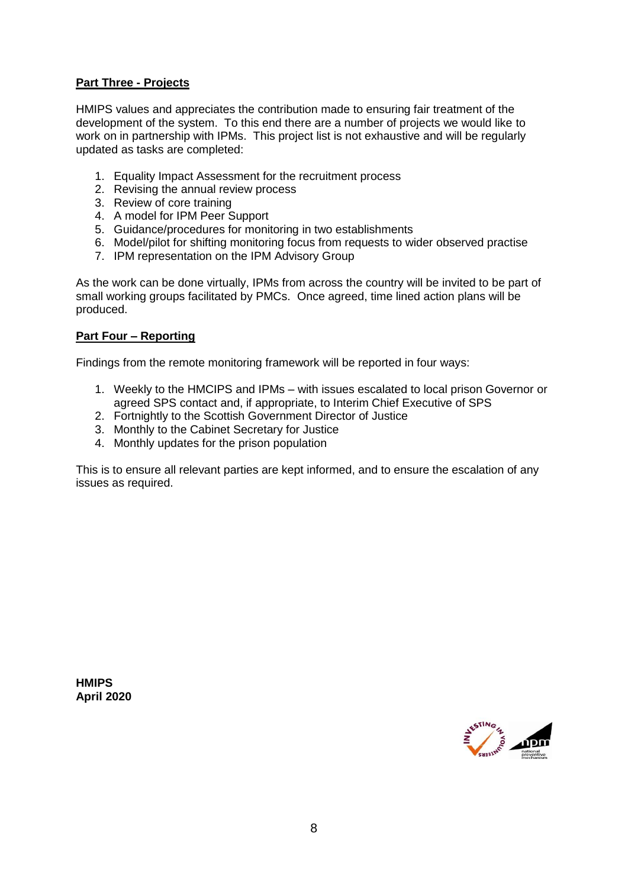## **Part Three - Projects**

HMIPS values and appreciates the contribution made to ensuring fair treatment of the development of the system. To this end there are a number of projects we would like to work on in partnership with IPMs. This project list is not exhaustive and will be regularly updated as tasks are completed:

- 1. Equality Impact Assessment for the recruitment process
- 2. Revising the annual review process
- 3. Review of core training
- 4. A model for IPM Peer Support
- 5. Guidance/procedures for monitoring in two establishments
- 6. Model/pilot for shifting monitoring focus from requests to wider observed practise
- 7. IPM representation on the IPM Advisory Group

As the work can be done virtually, IPMs from across the country will be invited to be part of small working groups facilitated by PMCs. Once agreed, time lined action plans will be produced.

## **Part Four – Reporting**

Findings from the remote monitoring framework will be reported in four ways:

- 1. Weekly to the HMCIPS and IPMs with issues escalated to local prison Governor or agreed SPS contact and, if appropriate, to Interim Chief Executive of SPS
- 2. Fortnightly to the Scottish Government Director of Justice
- 3. Monthly to the Cabinet Secretary for Justice
- 4. Monthly updates for the prison population

This is to ensure all relevant parties are kept informed, and to ensure the escalation of any issues as required.

**HMIPS April 2020**

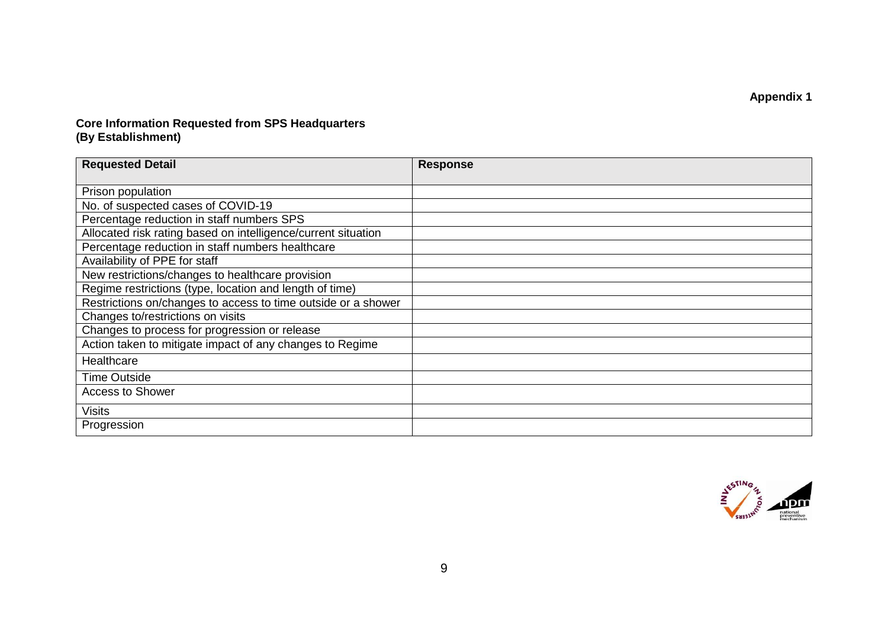**Appendix 1**

#### **Core Information Requested from SPS Headquarters (By Establishment)**

| <b>Requested Detail</b>                                       | <b>Response</b> |
|---------------------------------------------------------------|-----------------|
| Prison population                                             |                 |
| No. of suspected cases of COVID-19                            |                 |
| Percentage reduction in staff numbers SPS                     |                 |
| Allocated risk rating based on intelligence/current situation |                 |
| Percentage reduction in staff numbers healthcare              |                 |
| Availability of PPE for staff                                 |                 |
| New restrictions/changes to healthcare provision              |                 |
| Regime restrictions (type, location and length of time)       |                 |
| Restrictions on/changes to access to time outside or a shower |                 |
| Changes to/restrictions on visits                             |                 |
| Changes to process for progression or release                 |                 |
| Action taken to mitigate impact of any changes to Regime      |                 |
| Healthcare                                                    |                 |
| <b>Time Outside</b>                                           |                 |
| <b>Access to Shower</b>                                       |                 |
| <b>Visits</b>                                                 |                 |
| Progression                                                   |                 |